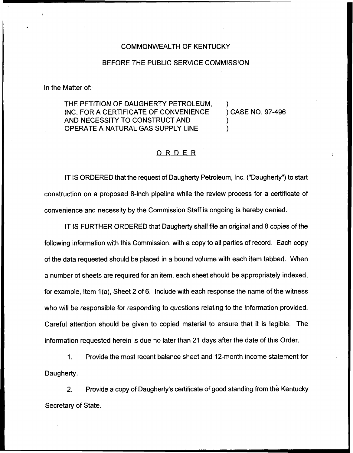## COMMONWEALTH OF KENTUCKY

## BEFORE THE PUBLIC SERVICE COMMISSION

In the Matter of:

THE PETITION OF DAUGHERTY PETROLEUM, )<br>INC. FOR A CERTIFICATE OF CONVENIENCE ) CASE NO. 97-496 INC. FOR A CERTIFICATE OF CONVENIENCE. AND NECESSITY TO CONSTRUCT AND OPERATE A NATURAL GAS SUPPLY LINE

## ORDER

IT IS ORDERED that the request of Daugherty Petroleum, Inc. ("Daugherty") to start construction on a proposed 8-inch pipeline while the review process for a certificate of convenience and necessity by the Commission Staff is ongoing is hereby denied.

IT IS FURTHER ORDERED that Daugherty shall file an original and 8 copies of the following information with this Commission, with a copy to all parties of record. Each copy of the data requested should be placed in a bound volume with each item tabbed. When a number of sheets are required for an item, each sheet should be appropriately indexed, for example, Item 1(a), Sheet 2 of 6. Include with each response the name of the witness who will be responsible for responding to questions relating to the information provided. Careful attention should be given to copied material to ensure that it is legible. The information requested herein is due no later than 21 days after the date of this Order.

1. Provide the most recent balance sheet and 12-month income statement for Daugherty.

2. Provide a copy of Daugherty's certificate of good standing from the Kentucky Secretary of State.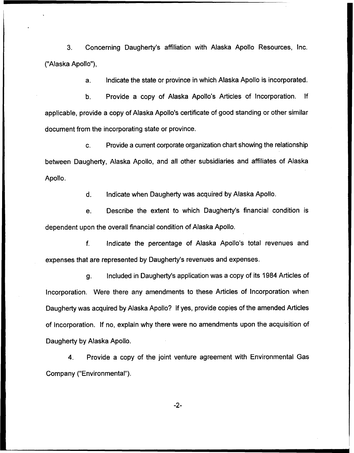3. Concerning Daugherty's affiliation with Alaska Apollo Resources, Inc. ("Alaska Apollo"),

a. Indicate the state or province in which Alaska Apollo is incorporated.

b. Provide a copy of Alaska Apollo's Articles of Incorporation. If applicable, provide a copy of Alaska Apollo's certificate of good standing or other similar document from the incorporating state or province.

c. Provide a current corporate organization chart showing the relationship between Daugherty, Alaska Apollo, and all other subsidiaries and affiliates of Alaska Apollo.

d. Indicate when Daugherty was acquired by Alaska Apollo.

e. Describe the extent to which Daugherty's financial condition is dependent upon the overall financial condition of Alaska Apollo.

 $f_{\cdot}$ Indicate the percentage of Alaska Apollo's total revenues and expenses that are represented by Daugherty's revenues and expenses.

g. Included in Daugherty's application was a copy of its 1984 Articles of Incorporation. Were there any amendments to these Articles of Incorporation when Daugherty was acquired by Alaska Apollo? If yes, provide copies of the amended Articles of Incorporation. If no, explain why there were no amendments upon the acquisition of Daugherty by Alaska Apollo.

4. Provide a copy of the joint venture agreement with Environmental Gas Company ("Environmental").

 $-2-$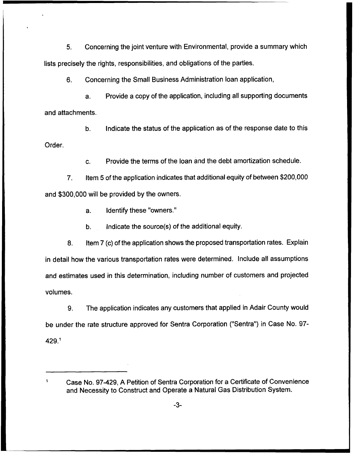5. Concerning the joint venture with Environmental, provide a summary which lists precisely the rights, responsibilities, and obligations of the parties.

6. Concerning the Small Business Administration loan application,

a. Provide a copy of the application, including all supporting documents and attachments.

b, Indicate the status of the application as of the response date to this Order.

c. Provide the terms of the loan and the debt amortization schedule.

7. Item 5 ofthe application indicates that additional equity of between \$200,000 and \$300,000 will be provided by the owners.

a. Identify these "owners."

'ase

b. Indicate the source(s) of the additional equity.

8. Item 7 (c) of the application shows the proposed transportation rates. Explain in detail how the various transportation rates were determined. Include all assumptions and estimates used in this determination, including number of customers and projected volumes.

9. The application indicates any customers that applied in Adair County would be under the rate structure approved for Sentra Corporation ("Sentra") in Case No. 97-  $429.<sup>1</sup>$ 

Case No. 97-429, A Petition of Sentra Corporation for a Certificate of Convenience and Necessity to Construct and Operate a Natural Gas Distribution System.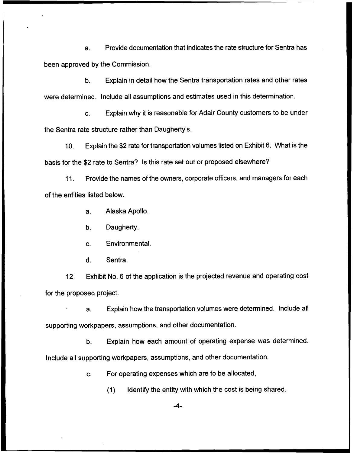a. Provide documentation that indicates the rate structure for Sentra has been approved by the Commission.

b. Explain in detail how the Sentra transportation rates and other rates were determined. Include all assumptions and estimates used in this determination.

c. Explain why it is reasonable for Adair County customers to be under the Sentra rate structure rather than Daugherty's.

10. Explain the \$2 rate for transportation volumes listed on Exhibit 6. What is the basis for the \$2 rate to Sentra? Is this rate set out or proposed elsewhere?

11. Provide the names of the owners, corporate officers, and managers for each of the entities listed below.

a. Alaska Apollo.

b. Daugherty.

c. Environmental.

d. Sentra.

12. Exhibit No. 6 of the application is the projected revenue and operating cost for the proposed project.

a. Explain how the transportation volumes were determined. Include all supporting workpapers, assumptions, and other documentation.

b. Explain how each amount of operating expense was determined.

Include all supporting workpapers, assumptions, and other documentation.

c. For operating expenses which are to be allocated,

(1) Identify the entity with which the cost is being shared.

 $-4-$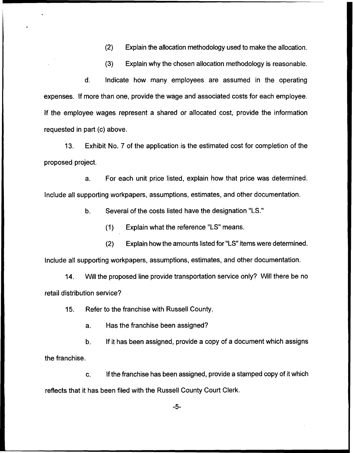(2) Explain the allocation methodology used to make the allocation.

(3) Explain why the chosen allocation methodology is reasonable.

d. Indicate how many employees are assumed in the operating expenses. If more than one, provide the wage and associated costs for each employee. If the employee wages represent a shared or allocated cost, provide the information requested in part (c) above.

13. Exhibit No. 7 of the application is the estimated cost for completion of the proposed project.

For each unit price listed, explain how that price was determined.  $a<sub>1</sub>$ Include all supporting workpapers, assumptions, estimates, and other documentation.

b. Several of the costs listed have the designation "LS."

(1) Explain what the reference "LS"means.

(2) Explain how the amounts listed for "LS"items were determined.

Include all supporting workpapers, assumptions, estimates, and other documentation.

14. Will the proposed line provide transportation service only? Will there be no retail distribution service?

15. Refer to the franchise with Russell County.

a. Has the franchise been assigned?

b. If it has been assigned, provide a copy of a document which assigns the franchise.

c. If the franchise has been assigned, provide a stamped copy of it which reflects that it has been filed with the Russell County Court Clerk.

 $-5-$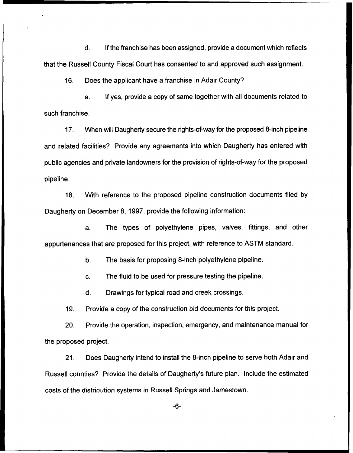d. If the franchise has been assigned, provide a document which reflects that the Russell County Fiscal Court has consented to and approved such assignment.

16. Does the applicant have a franchise in Adair County?

a. If yes, provide a copy of same together with all documents related to such franchise.

17. When will Daugherty secure the rights-of-way for the proposed 8-inch pipeline and related facilities? Provide any agreements into which Daugherty has entered with public agencies and private landowners for the provision of rights-of-way for the proposed pipeline.

18. With reference to the proposed pipeline construction documents filed by Daugherty on December 8, 1997, provide the following information:

a. The types of polyethylene pipes, valves, fittings, and other appurtenances that are proposed for this project, with reference to ASTM standard.

b. The basis for proposing 8-inch polyethylene pipeline.

c. The fluid to be used for pressure testing the pipeline.

 $\mathbf{d}$ . Drawings for typical road and creek crossings.

19. Provide a copy of the construction bid documents for this project.

20. Provide the operation, inspection, emergency, and maintenance manual for the proposed project.

21. Does Daugherty intend to install the 8-inch pipeline to serve both Adair and Russell counties? Provide the details of Daugherty's future plan. Include the estimated costs of the distribution systems in Russell Springs and Jamestown.

-6-